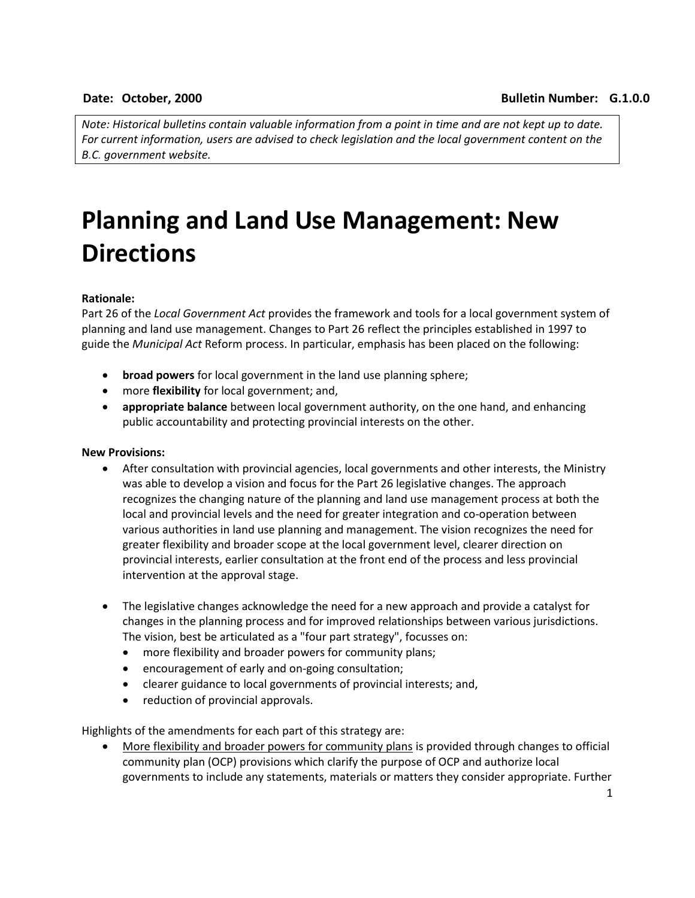*Note: Historical bulletins contain valuable information from a point in time and are not kept up to date. For current information, users are advised to check legislation and the local government content on the B.C. government website.*

## **Planning and Land Use Management: New Directions**

## **Rationale:**

Part 26 of the *Local Government Act* provides the framework and tools for a local government system of planning and land use management. Changes to Part 26 reflect the principles established in 1997 to guide the *Municipal Act* Reform process. In particular, emphasis has been placed on the following:

- **broad powers** for local government in the land use planning sphere;
- more **flexibility** for local government; and,
- **appropriate balance** between local government authority, on the one hand, and enhancing public accountability and protecting provincial interests on the other.

## **New Provisions:**

- After consultation with provincial agencies, local governments and other interests, the Ministry was able to develop a vision and focus for the Part 26 legislative changes. The approach recognizes the changing nature of the planning and land use management process at both the local and provincial levels and the need for greater integration and co-operation between various authorities in land use planning and management. The vision recognizes the need for greater flexibility and broader scope at the local government level, clearer direction on provincial interests, earlier consultation at the front end of the process and less provincial intervention at the approval stage.
- The legislative changes acknowledge the need for a new approach and provide a catalyst for changes in the planning process and for improved relationships between various jurisdictions. The vision, best be articulated as a "four part strategy", focusses on:
	- more flexibility and broader powers for community plans;
	- encouragement of early and on-going consultation;
	- clearer guidance to local governments of provincial interests; and,
	- reduction of provincial approvals.

Highlights of the amendments for each part of this strategy are:

 More flexibility and broader powers for community plans is provided through changes to official community plan (OCP) provisions which clarify the purpose of OCP and authorize local governments to include any statements, materials or matters they consider appropriate. Further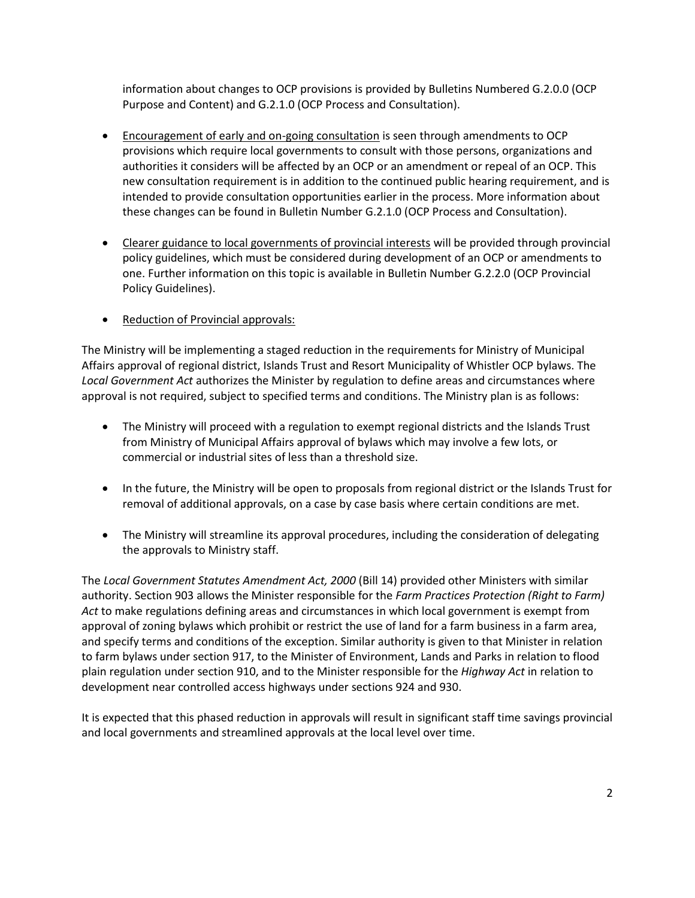information about changes to OCP provisions is provided by Bulletins Numbered G.2.0.0 (OCP Purpose and Content) and G.2.1.0 (OCP Process and Consultation).

- Encouragement of early and on-going consultation is seen through amendments to OCP provisions which require local governments to consult with those persons, organizations and authorities it considers will be affected by an OCP or an amendment or repeal of an OCP. This new consultation requirement is in addition to the continued public hearing requirement, and is intended to provide consultation opportunities earlier in the process. More information about these changes can be found in Bulletin Number G.2.1.0 (OCP Process and Consultation).
- Clearer guidance to local governments of provincial interests will be provided through provincial policy guidelines, which must be considered during development of an OCP or amendments to one. Further information on this topic is available in Bulletin Number G.2.2.0 (OCP Provincial Policy Guidelines).
- Reduction of Provincial approvals:

The Ministry will be implementing a staged reduction in the requirements for Ministry of Municipal Affairs approval of regional district, Islands Trust and Resort Municipality of Whistler OCP bylaws. The *Local Government Act* authorizes the Minister by regulation to define areas and circumstances where approval is not required, subject to specified terms and conditions. The Ministry plan is as follows:

- The Ministry will proceed with a regulation to exempt regional districts and the Islands Trust from Ministry of Municipal Affairs approval of bylaws which may involve a few lots, or commercial or industrial sites of less than a threshold size.
- In the future, the Ministry will be open to proposals from regional district or the Islands Trust for removal of additional approvals, on a case by case basis where certain conditions are met.
- The Ministry will streamline its approval procedures, including the consideration of delegating the approvals to Ministry staff.

The *Local Government Statutes Amendment Act, 2000* (Bill 14) provided other Ministers with similar authority. Section 903 allows the Minister responsible for the *Farm Practices Protection (Right to Farm) Act* to make regulations defining areas and circumstances in which local government is exempt from approval of zoning bylaws which prohibit or restrict the use of land for a farm business in a farm area, and specify terms and conditions of the exception. Similar authority is given to that Minister in relation to farm bylaws under section 917, to the Minister of Environment, Lands and Parks in relation to flood plain regulation under section 910, and to the Minister responsible for the *Highway Act* in relation to development near controlled access highways under sections 924 and 930.

It is expected that this phased reduction in approvals will result in significant staff time savings provincial and local governments and streamlined approvals at the local level over time.